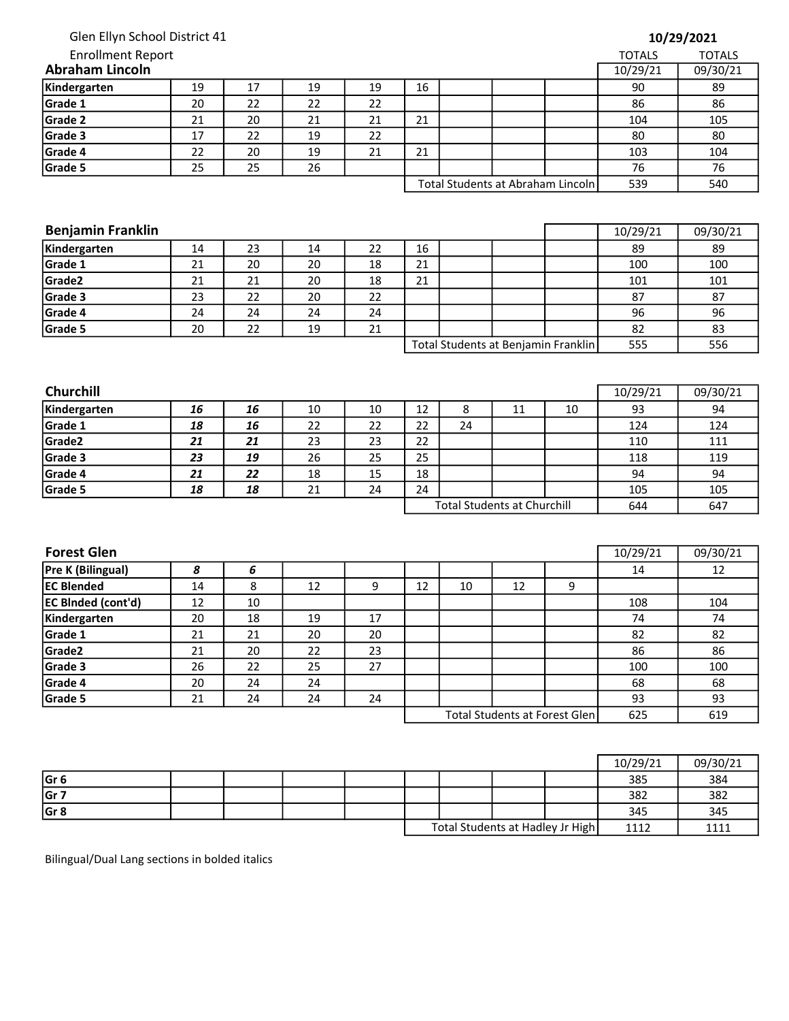| Glen Ellyn School District 41     |  |
|-----------------------------------|--|
| Enrollment Report<br>aham Lincoln |  |

| 10/29/2021 |  |
|------------|--|
|------------|--|

| <b>Enrollment Report</b> |    |    |    |    |    |  |  |                                   | <b>TOTALS</b> | <b>TOTALS</b> |
|--------------------------|----|----|----|----|----|--|--|-----------------------------------|---------------|---------------|
| <b>Abraham Lincoln</b>   |    |    |    |    |    |  |  |                                   |               | 09/30/21      |
| Kindergarten             | 19 | 17 | 19 | 19 | 16 |  |  |                                   | 90            | 89            |
| Grade 1                  | 20 | 22 | 22 | 22 |    |  |  |                                   | 86            | 86            |
| <b>Grade 2</b>           | 21 | 20 | 21 | 21 | 21 |  |  |                                   | 104           | 105           |
| Grade 3                  | 17 | 22 | 19 | 22 |    |  |  |                                   | 80            | 80            |
| Grade 4                  | 22 | 20 | 19 | 21 | 21 |  |  |                                   | 103           | 104           |
| Grade 5                  | 25 | 25 | 26 |    |    |  |  |                                   | 76            | 76            |
|                          |    |    |    |    |    |  |  | Total Students at Abraham Lincoln | 539           | 540           |

| ٦ | 104 |
|---|-----|
| , | 76  |
| 9 | 540 |

| <b>Benjamin Franklin</b> |    |    |    |    |    |                                     | 10/29/21 | 09/30/21 |
|--------------------------|----|----|----|----|----|-------------------------------------|----------|----------|
| Kindergarten             | 14 | 23 | 14 | 22 | 16 |                                     | 89       | 89       |
| Grade 1                  | 21 | 20 | 20 | 18 | 21 |                                     | 100      | 100      |
| Grade <sub>2</sub>       | 21 | 21 | 20 | 18 | 21 |                                     | 101      | 101      |
| Grade 3                  | 23 | 22 | 20 | 22 |    |                                     | 87       | 87       |
| Grade 4                  | 24 | 24 | 24 | 24 |    |                                     | 96       | 96       |
| Grade 5                  | 20 | 22 | 19 | 21 |    |                                     | 82       | 83       |
|                          |    |    |    |    |    | Total Students at Benjamin Franklin | 555      | 556      |

| <b>Churchill</b> |    |    |    |    |                                    |    |    |    | 10/29/21 | 09/30/21 |
|------------------|----|----|----|----|------------------------------------|----|----|----|----------|----------|
| Kindergarten     | 16 | 16 | 10 | 10 | 12                                 | Õ  | 11 | 10 | 93       | 94       |
| Grade 1          | 18 | 16 | 22 | 22 | 22                                 | 24 |    |    | 124      | 124      |
| Grade2           | 21 | 21 | 23 | 23 | 22                                 |    |    |    | 110      | 111      |
| Grade 3          | 23 | 19 | 26 | 25 | 25                                 |    |    |    | 118      | 119      |
| Grade 4          | 21 | 22 | 18 | 15 | 18                                 |    |    |    | 94       | 94       |
| Grade 5          | 18 | 18 | 21 | 24 | 24                                 |    |    |    | 105      | 105      |
|                  |    |    |    |    | <b>Total Students at Churchill</b> |    |    |    | 644      | 647      |

| <b>Forest Glen</b>        |    |    |    |    |    |    |                               |     | 10/29/21 | 09/30/21 |
|---------------------------|----|----|----|----|----|----|-------------------------------|-----|----------|----------|
| <b>Pre K (Bilingual)</b>  | 8  | 6  |    |    |    |    |                               |     | 14       | 12       |
| <b>EC Blended</b>         | 14 | 8  | 12 | 9  | 12 | 10 | 12                            | 9   |          |          |
| <b>EC BInded (cont'd)</b> | 12 | 10 |    |    |    |    |                               |     | 108      | 104      |
| Kindergarten              | 20 | 18 | 19 | 17 |    |    |                               |     | 74       | 74       |
| Grade 1                   | 21 | 21 | 20 | 20 |    |    |                               |     | 82       | 82       |
| Grade <sub>2</sub>        | 21 | 20 | 22 | 23 |    |    |                               |     | 86       | 86       |
| Grade 3                   | 26 | 22 | 25 | 27 |    |    |                               |     | 100      | 100      |
| Grade 4                   | 20 | 24 | 24 |    |    |    |                               |     | 68       | 68       |
| Grade 5                   | 21 | 24 | 24 | 24 |    |    |                               |     | 93       | 93       |
|                           |    |    |    |    |    |    | Total Students at Forest Glen | 625 | 619      |          |

|                 |  |  |  |                                  | 10/29/21 | 09/30/21 |
|-----------------|--|--|--|----------------------------------|----------|----------|
| Gr <sub>6</sub> |  |  |  |                                  | 385      | 384      |
| Gr 7            |  |  |  |                                  | 382      | 382      |
| Gr <sub>8</sub> |  |  |  |                                  | 345      | 345      |
|                 |  |  |  | Total Students at Hadley Jr High | 1112     | 1111     |

Bilingual/Dual Lang sections in bolded italics